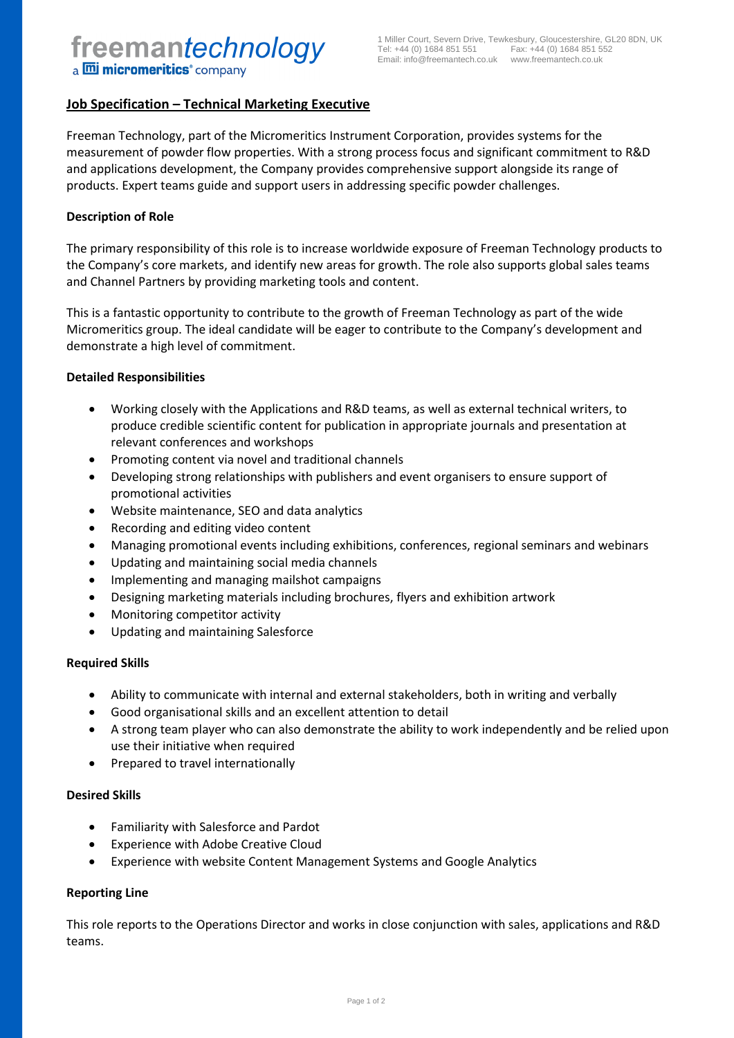# **Job Specification – Technical Marketing Executive**

Freeman Technology, part of the Micromeritics Instrument Corporation, provides systems for the measurement of powder flow properties. With a strong process focus and significant commitment to R&D and applications development, the Company provides comprehensive support alongside its range of products. Expert teams guide and support users in addressing specific powder challenges.

#### **Description of Role**

The primary responsibility of this role is to increase worldwide exposure of Freeman Technology products to the Company's core markets, and identify new areas for growth. The role also supports global sales teams and Channel Partners by providing marketing tools and content.

This is a fantastic opportunity to contribute to the growth of Freeman Technology as part of the wide Micromeritics group. The ideal candidate will be eager to contribute to the Company's development and demonstrate a high level of commitment.

#### **Detailed Responsibilities**

- Working closely with the Applications and R&D teams, as well as external technical writers, to produce credible scientific content for publication in appropriate journals and presentation at relevant conferences and workshops
- Promoting content via novel and traditional channels
- Developing strong relationships with publishers and event organisers to ensure support of promotional activities
- Website maintenance, SEO and data analytics
- Recording and editing video content
- Managing promotional events including exhibitions, conferences, regional seminars and webinars
- Updating and maintaining social media channels
- Implementing and managing mailshot campaigns
- Designing marketing materials including brochures, flyers and exhibition artwork
- Monitoring competitor activity
- Updating and maintaining Salesforce

## **Required Skills**

- Ability to communicate with internal and external stakeholders, both in writing and verbally
- Good organisational skills and an excellent attention to detail
- A strong team player who can also demonstrate the ability to work independently and be relied upon use their initiative when required
- Prepared to travel internationally

## **Desired Skills**

- Familiarity with Salesforce and Pardot
- Experience with Adobe Creative Cloud
- Experience with website Content Management Systems and Google Analytics

## **Reporting Line**

This role reports to the Operations Director and works in close conjunction with sales, applications and R&D teams.